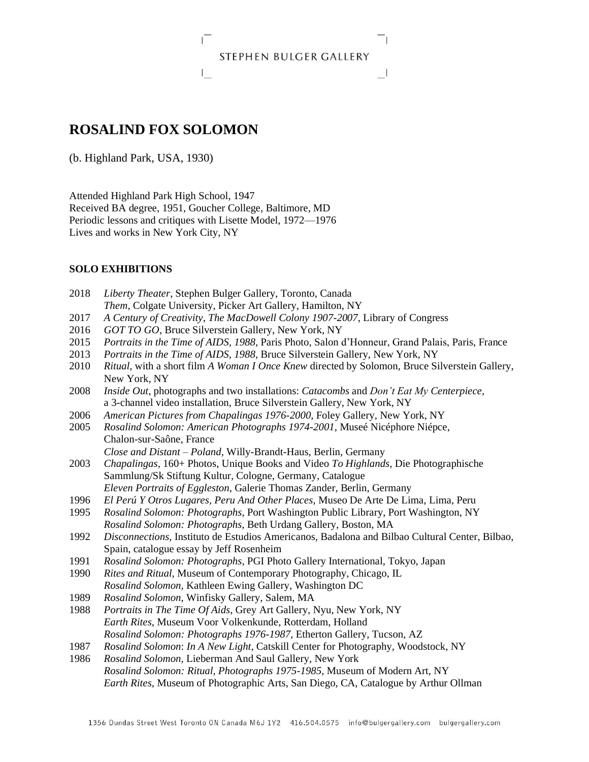# STEPHEN BULGER GALLERY

# **ROSALIND FOX SOLOMON**

(b. Highland Park, USA, 1930)

Attended Highland Park High School, 1947 Received BA degree, 1951, Goucher College, Baltimore, MD Periodic lessons and critiques with Lisette Model, 1972—1976 Lives and works in New York City, NY

### **SOLO EXHIBITIONS**

- 2018 *Liberty Theater*, Stephen Bulger Gallery, Toronto, Canada *Them*, Colgate University, Picker Art Gallery, Hamilton, NY
- 2017 *A Century of Creativity*, *The MacDowell Colony 1907-2007*, Library of Congress
- 2016 *GOT TO GO*, Bruce Silverstein Gallery, New York, NY
- 2015 *Portraits in the Time of AIDS, 1988,* Paris Photo, Salon d'Honneur, Grand Palais, Paris, France
- 2013 *Portraits in the Time of AIDS, 1988*, Bruce Silverstein Gallery, New York, NY
- 2010 *Ritual*, with a short film *A Woman I Once Knew* directed by Solomon, Bruce Silverstein Gallery, New York, NY
- 2008 *Inside Out*, photographs and two installations: *Catacombs* and *Don't Eat My Centerpiece,*  a 3-channel video installation, Bruce Silverstein Gallery, New York, NY
- 2006 *American Pictures from Chapalingas 1976-2000*, Foley Gallery, New York, NY
- 2005 *Rosalind Solomon: American Photographs 1974-2001,* Museé Nicéphore Niépce, Chalon-sur-Saône, France

*Close and Distant – Poland*, Willy-Brandt-Haus, Berlin, Germany

- 2003 *Chapalingas*, 160+ Photos, Unique Books and Video *To Highlands,* Die Photographische Sammlung/Sk Stiftung Kultur, Cologne, Germany, Catalogue *Eleven Portraits of Eggleston*, Galerie Thomas Zander, Berlin, Germany
- 1996 *El Perú Y Otros Lugares, Peru And Other Places,* Museo De Arte De Lima, Lima, Peru
- 1995 *Rosalind Solomon: Photographs,* Port Washington Public Library, Port Washington, NY *Rosalind Solomon: Photographs,* Beth Urdang Gallery, Boston, MA
- 1992 *Disconnections,* Instituto de Estudios Americanos, Badalona and Bilbao Cultural Center, Bilbao, Spain, catalogue essay by Jeff Rosenheim
- 1991 *Rosalind Solomon: Photographs*, PGI Photo Gallery International, Tokyo, Japan
- 1990 *Rites and Ritual*, Museum of Contemporary Photography, Chicago, IL *Rosalind Solomon,* Kathleen Ewing Gallery, Washington DC
- 1989 *Rosalind Solomon*, Winfisky Gallery, Salem, MA
- 1988 *Portraits in The Time Of Aids*, Grey Art Gallery, Nyu, New York, NY *Earth Rites*, Museum Voor Volkenkunde, Rotterdam, Holland *Rosalind Solomon: Photographs 1976-1987,* Etherton Gallery, Tucson, AZ
- 1987 *Rosalind Solomon*: *In A New Light*, Catskill Center for Photography, Woodstock, NY
- 1986 *Rosalind Solomon,* Lieberman And Saul Gallery, New York *Rosalind Solomon: Ritual, Photographs 1975-1985*, Museum of Modern Art, NY *Earth Rites*, Museum of Photographic Arts, San Diego, CA, Catalogue by Arthur Ollman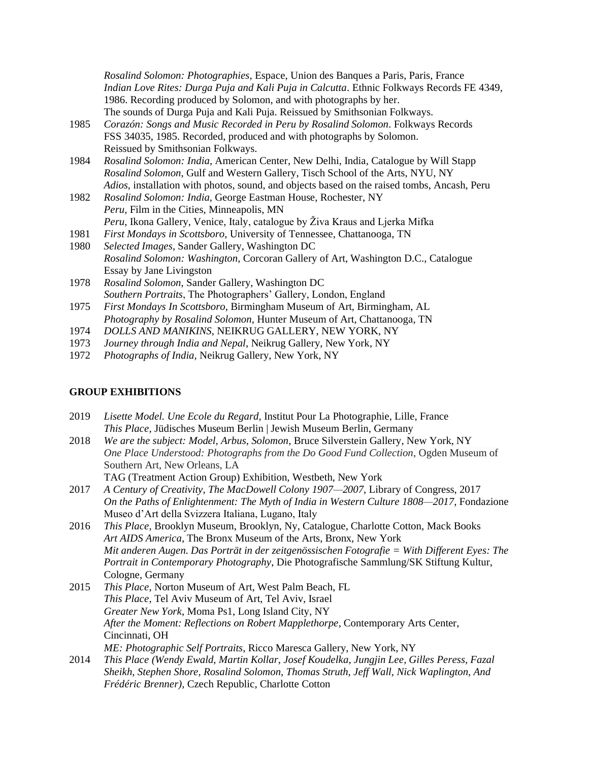*Rosalind Solomon: Photographies*, Espace, Union des Banques a Paris, Paris, France *Indian Love Rites: Durga Puja and Kali Puja in Calcutta*. Ethnic Folkways Records FE 4349, 1986. Recording produced by Solomon, and with photographs by her. The sounds of Durga Puja and Kali Puja. Reissued by Smithsonian Folkways.

- 1985 *Corazón: Songs and Music Recorded in Peru by Rosalind Solomon*. Folkways Records FSS 34035, 1985. Recorded, produced and with photographs by Solomon. Reissued by Smithsonian Folkways.
- 1984 *Rosalind Solomon: India*, American Center, New Delhi, India, Catalogue by Will Stapp *Rosalind Solomon*, Gulf and Western Gallery, Tisch School of the Arts, NYU, NY *Adios*, installation with photos, sound, and objects based on the raised tombs, Ancash, Peru
- 1982 *Rosalind Solomon: India,* George Eastman House, Rochester, NY *Peru,* Film in the Cities, Minneapolis, MN *Peru*, Ikona Gallery, Venice, Italy, catalogue by Živa Kraus and Ljerka Mifka
- 1981 *First Mondays in Scottsboro*, University of Tennessee, Chattanooga, TN 1980 *Selected Images*, Sander Gallery, Washington DC
- *Rosalind Solomon: Washington*, Corcoran Gallery of Art, Washington D.C., Catalogue Essay by Jane Livingston
- 1978 *Rosalind Solomon*, Sander Gallery, Washington DC *Southern Portraits*, The Photographers' Gallery, London, England
- 1975 *First Mondays In Scottsboro*, Birmingham Museum of Art, Birmingham, AL *Photography by Rosalind Solomon*, Hunter Museum of Art, Chattanooga, TN
- 1974 *DOLLS AND MANIKINS*, NEIKRUG GALLERY, NEW YORK, NY
- 1973 *Journey through India and Nepal*, Neikrug Gallery, New York, NY
- 1972 *Photographs of India,* Neikrug Gallery, New York, NY

# **GROUP EXHIBITIONS**

- 2019 *Lisette Model. Une Ecole du Regard,* Institut Pour La Photographie, Lille, France *This Place,* Jüdisches Museum Berlin | Jewish Museum Berlin, Germany
- 2018 *We are the subject: Model, Arbus, Solomon*, Bruce Silverstein Gallery, New York, NY *One Place Understood: Photographs from the Do Good Fund Collection*, Ogden Museum of Southern Art, New Orleans, LA TAG (Treatment Action Group) Exhibition, Westbeth, New York
- 2017 *[A Century of Creativity, The MacDowell Colony 1907—2007](http://www.loc.gov/exhibits/macdowell/contemporary/index.html#object_6)*, Library of Congress, 2017 *On the Paths of Enlightenment: The Myth of India in Western Culture 1808—2017*, Fondazione Museo d'Art della Svizzera Italiana, Lugano, Italy
- 2016 *This Place,* Brooklyn Museum, Brooklyn, Ny, Catalogue, Charlotte Cotton, Mack Books *Art AIDS America*, The Bronx Museum of the Arts, Bronx, New York *Mit anderen Augen. Das Porträt in der zeitgenössischen Fotografie = With Different Eyes: The Portrait in Contemporary Photography*, Die Photografische Sammlung/SK Stiftung Kultur, Cologne, Germany
- 2015 *This Place*, Norton Museum of Art, West Palm Beach, FL *This Place,* Tel Aviv Museum of Art, Tel Aviv, Israel *Greater New York*, Moma Ps1, Long Island City, NY *After the Moment: Reflections on Robert Mapplethorpe*, Contemporary Arts Center, Cincinnati, OH *ME: Photographic Self Portraits*, Ricco Maresca Gallery, New York, NY
- 2014 *This Place (Wendy Ewald, Martin Kollar, Josef Koudelka, Jungjin Lee, Gilles Peress, Fazal Sheikh, Stephen Shore, Rosalind Solomon, Thomas Struth, Jeff Wall, Nick Waplington, And Frédéric Brenner),* Czech Republic, Charlotte Cotton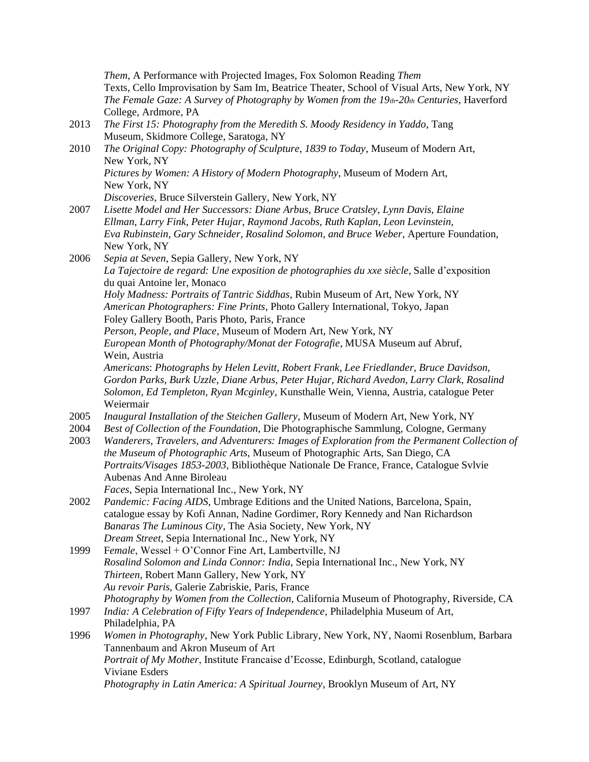*Them,* A Performance with Projected Images, Fox Solomon Reading *Them* Texts, Cello Improvisation by Sam Im, Beatrice Theater, School of Visual Arts, New York, NY *The Female Gaze: A Survey of Photography by Women from the 19th-20th Centuries*, Haverford College, Ardmore, PA

- 2013 *The First 15: Photography from the Meredith S. Moody Residency in Yaddo*, Tang Museum, Skidmore College, Saratoga, NY
- 2010 *The Original Copy: Photography of Sculpture, 1839 to Today*, Museum of Modern Art, New York, NY *Pictures by Women: A History of Modern Photography*, Museum of Modern Art, New York, NY
	- *Discoveries*, Bruce Silverstein Gallery, New York, NY
- 2007 *Lisette Model and Her Successors: Diane Arbus, Bruce Cratsley, Lynn Davis, Elaine Ellman, Larry Fink, Peter Hujar, Raymond Jacobs, Ruth Kaplan, Leon Levinstein, Eva Rubinstein, Gary Schneider, Rosalind Solomon, and Bruce Weber*, Aperture Foundation, New York, NY
- 2006 *Sepia at Seven*, Sepia Gallery, New York, NY *La Tajectoire de regard: Une exposition de photographies du xxe siècle*, Salle d'exposition du quai Antoine ler, Monaco *Holy Madness: Portraits of Tantric Siddhas*, Rubin Museum of Art, New York, NY *American Photographers: Fine Prints*, Photo Gallery International, Tokyo, Japan Foley Gallery Booth, Paris Photo, Paris, France  *Person, People, and Place*, Museum of Modern Art, New York, NY *European Month of Photography/Monat der Fotografie*, MUSA Museum auf Abruf, Wein, Austria *Americans*: *Photographs by Helen Levitt, Robert Frank, Lee Friedlander, Bruce Davidson, Gordon Parks, Burk Uzzle, Diane Arbus, Peter Hujar, Richard Avedon, Larry Clark, Rosalind Solomon, Ed Templeton, Ryan Mcginley*, Kunsthalle Wein, Vienna, Austria, catalogue Peter
	- Weiermair
- 2005 *Inaugural Installation of the Steichen Gallery*, Museum of Modern Art, New York, NY
- 2004 *Best of Collection of the Foundation*, Die Photographische Sammlung, Cologne, Germany
- 2003 *Wanderers, Travelers, and Adventurers: Images of Exploration from the Permanent Collection of the Museum of Photographic Arts*, Museum of Photographic Arts, San Diego, CA *Portraits/Visages 1853-2003,* Bibliothèque Nationale De France, France, Catalogue Svlvie Aubenas And Anne Biroleau *Faces*, Sepia International Inc., New York, NY
- 2002 *Pandemic: Facing AIDS*, Umbrage Editions and the United Nations, Barcelona, Spain, catalogue essay by Kofi Annan, Nadine Gordimer, Rory Kennedy and Nan Richardson *Banaras The Luminous City*, The Asia Society, New York, NY
	- *Dream Street*, Sepia International Inc., New York, NY
- 1999 F*emale*, Wessel + O'Connor Fine Art, Lambertville, NJ *Rosalind Solomon and Linda Connor: India*, Sepia International Inc., New York, NY *Thirteen*, Robert Mann Gallery, New York, NY *Au revoir Paris*, Galerie Zabriskie, Paris, France *Photography by Women from the Collection*, California Museum of Photography, Riverside, CA
- 1997 *India: A Celebration of Fifty Years of Independence*, Philadelphia Museum of Art, Philadelphia, PA
- 1996 *Women in Photography*, New York Public Library, New York, NY, Naomi Rosenblum, Barbara Tannenbaum and Akron Museum of Art *Portrait of My Mother*, Institute Francaise d'Ecosse*,* Edinburgh, Scotland, catalogue Viviane Esders *Photography in Latin America: A Spiritual Journey*, Brooklyn Museum of Art, NY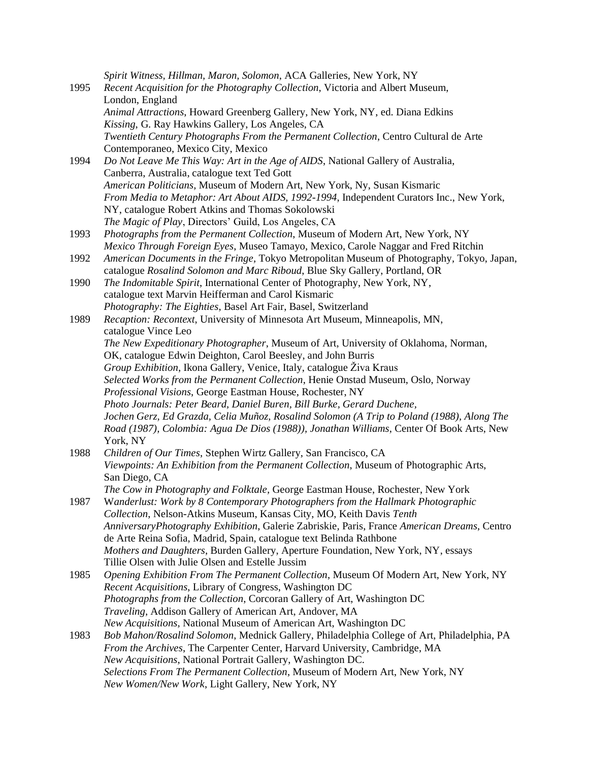|      | Spirit Witness, Hillman, Maron, Solomon, ACA Galleries, New York, NY                                                                            |
|------|-------------------------------------------------------------------------------------------------------------------------------------------------|
| 1995 | Recent Acquisition for the Photography Collection, Victoria and Albert Museum,                                                                  |
|      | London, England                                                                                                                                 |
|      | Animal Attractions, Howard Greenberg Gallery, New York, NY, ed. Diana Edkins                                                                    |
|      | Kissing, G. Ray Hawkins Gallery, Los Angeles, CA                                                                                                |
|      | Twentieth Century Photographs From the Permanent Collection, Centro Cultural de Arte                                                            |
|      | Contemporaneo, Mexico City, Mexico                                                                                                              |
| 1994 | Do Not Leave Me This Way: Art in the Age of AIDS, National Gallery of Australia,                                                                |
|      | Canberra, Australia, catalogue text Ted Gott                                                                                                    |
|      | American Politicians, Museum of Modern Art, New York, Ny, Susan Kismaric                                                                        |
|      | From Media to Metaphor: Art About AIDS, 1992-1994, Independent Curators Inc., New York,                                                         |
|      | NY, catalogue Robert Atkins and Thomas Sokolowski                                                                                               |
|      | The Magic of Play, Directors' Guild, Los Angeles, CA                                                                                            |
| 1993 | Photographs from the Permanent Collection, Museum of Modern Art, New York, NY                                                                   |
|      | Mexico Through Foreign Eyes, Museo Tamayo, Mexico, Carole Naggar and Fred Ritchin                                                               |
| 1992 | American Documents in the Fringe, Tokyo Metropolitan Museum of Photography, Tokyo, Japan,                                                       |
|      | catalogue Rosalind Solomon and Marc Riboud, Blue Sky Gallery, Portland, OR                                                                      |
| 1990 | The Indomitable Spirit, International Center of Photography, New York, NY,                                                                      |
|      | catalogue text Marvin Heifferman and Carol Kismaric                                                                                             |
|      | Photography: The Eighties, Basel Art Fair, Basel, Switzerland                                                                                   |
| 1989 | Recaption: Recontext, University of Minnesota Art Museum, Minneapolis, MN,                                                                      |
|      | catalogue Vince Leo                                                                                                                             |
|      | The New Expeditionary Photographer, Museum of Art, University of Oklahoma, Norman,                                                              |
|      | OK, catalogue Edwin Deighton, Carol Beesley, and John Burris                                                                                    |
|      | Group Exhibition, Ikona Gallery, Venice, Italy, catalogue Živa Kraus                                                                            |
|      | Selected Works from the Permanent Collection, Henie Onstad Museum, Oslo, Norway                                                                 |
|      | Professional Visions, George Eastman House, Rochester, NY                                                                                       |
|      | Photo Journals: Peter Beard, Daniel Buren, Bill Burke, Gerard Duchene,                                                                          |
|      | Jochen Gerz, Ed Grazda, Celia Muñoz, Rosalind Solomon (A Trip to Poland (1988), Along The                                                       |
|      | Road (1987), Colombia: Agua De Dios (1988)), Jonathan Williams, Center Of Book Arts, New                                                        |
|      | York, NY                                                                                                                                        |
| 1988 | Children of Our Times, Stephen Wirtz Gallery, San Francisco, CA                                                                                 |
|      | Viewpoints: An Exhibition from the Permanent Collection, Museum of Photographic Arts,                                                           |
|      | San Diego, CA                                                                                                                                   |
|      | The Cow in Photography and Folktale, George Eastman House, Rochester, New York                                                                  |
| 1987 | Wanderlust: Work by 8 Contemporary Photographers from the Hallmark Photographic                                                                 |
|      | Collection, Nelson-Atkins Museum, Kansas City, MO, Keith Davis Tenth                                                                            |
|      | AnniversaryPhotography Exhibition, Galerie Zabriskie, Paris, France American Dreams, Centro                                                     |
|      | de Arte Reina Sofia, Madrid, Spain, catalogue text Belinda Rathbone                                                                             |
|      | Mothers and Daughters, Burden Gallery, Aperture Foundation, New York, NY, essays                                                                |
|      | Tillie Olsen with Julie Olsen and Estelle Jussim                                                                                                |
|      |                                                                                                                                                 |
| 1985 | Opening Exhibition From The Permanent Collection, Museum Of Modern Art, New York, NY<br>Recent Acquisitions, Library of Congress, Washington DC |
|      |                                                                                                                                                 |
|      | Photographs from the Collection, Corcoran Gallery of Art, Washington DC                                                                         |
|      | Traveling, Addison Gallery of American Art, Andover, MA                                                                                         |
|      | New Acquisitions, National Museum of American Art, Washington DC                                                                                |
| 1983 | Bob Mahon/Rosalind Solomon, Mednick Gallery, Philadelphia College of Art, Philadelphia, PA                                                      |
|      | From the Archives, The Carpenter Center, Harvard University, Cambridge, MA                                                                      |
|      | New Acquisitions, National Portrait Gallery, Washington DC.                                                                                     |
|      | Selections From The Permanent Collection, Museum of Modern Art, New York, NY                                                                    |
|      | New Women/New Work, Light Gallery, New York, NY                                                                                                 |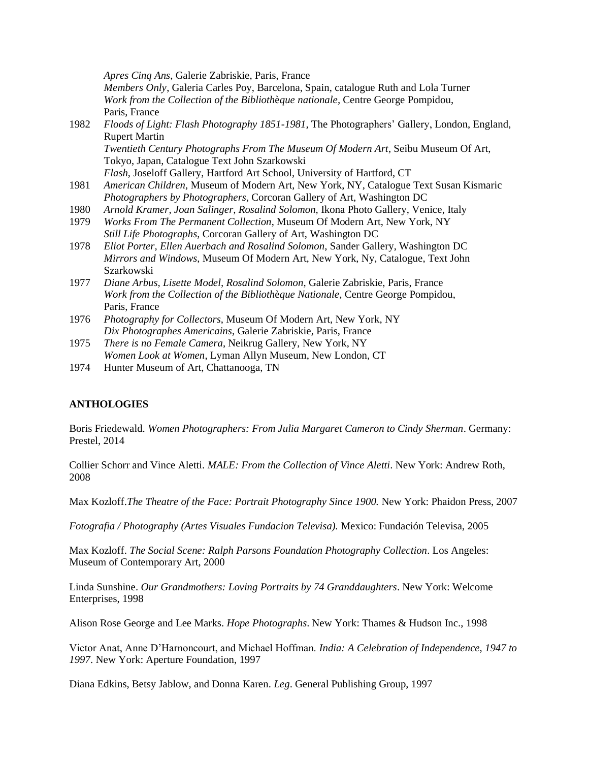|      | Apres Cinq Ans, Galerie Zabriskie, Paris, France                                           |
|------|--------------------------------------------------------------------------------------------|
|      | Members Only, Galeria Carles Poy, Barcelona, Spain, catalogue Ruth and Lola Turner         |
|      | Work from the Collection of the Bibliothèque nationale, Centre George Pompidou,            |
|      | Paris, France                                                                              |
| 1982 | Floods of Light: Flash Photography 1851-1981, The Photographers' Gallery, London, England, |
|      | <b>Rupert Martin</b>                                                                       |
|      | Twentieth Century Photographs From The Museum Of Modern Art, Seibu Museum Of Art,          |
|      | Tokyo, Japan, Catalogue Text John Szarkowski                                               |
|      | Flash, Joseloff Gallery, Hartford Art School, University of Hartford, CT                   |
| 1981 | American Children, Museum of Modern Art, New York, NY, Catalogue Text Susan Kismaric       |
|      | Photographers by Photographers, Corcoran Gallery of Art, Washington DC                     |
| 1980 | Arnold Kramer, Joan Salinger, Rosalind Solomon, Ikona Photo Gallery, Venice, Italy         |
| 1979 | Works From The Permanent Collection, Museum Of Modern Art, New York, NY                    |
|      | Still Life Photographs, Corcoran Gallery of Art, Washington DC                             |
| 1978 | Eliot Porter, Ellen Auerbach and Rosalind Solomon, Sander Gallery, Washington DC           |
|      | Mirrors and Windows, Museum Of Modern Art, New York, Ny, Catalogue, Text John              |
|      | Szarkowski                                                                                 |
| 1977 | Diane Arbus, Lisette Model, Rosalind Solomon, Galerie Zabriskie, Paris, France             |
|      | Work from the Collection of the Bibliothèque Nationale, Centre George Pompidou,            |
|      | Paris, France                                                                              |
| 1976 | Photography for Collectors, Museum Of Modern Art, New York, NY                             |
|      | Dix Photographes Americains, Galerie Zabriskie, Paris, France                              |
| 1975 | There is no Female Camera, Neikrug Gallery, New York, NY                                   |
|      | Women Look at Women, Lyman Allyn Museum, New London, CT                                    |
| 1974 | Hunter Museum of Art, Chattanooga, TN                                                      |
|      |                                                                                            |

# **ANTHOLOGIES**

Boris Friedewald. *Women Photographers: From Julia Margaret Cameron to Cindy Sherman*. Germany: Prestel, 2014

Collier Schorr and Vince Aletti. *MALE: From the Collection of Vince Aletti*. New York: Andrew Roth, 2008

Max Kozloff.*The Theatre of the Face: Portrait Photography Since 1900.* New York: Phaidon Press, 2007

*Fotografia / Photography (Artes Visuales Fundacion Televisa).* Mexico: Fundación Televisa, 2005

Max Kozloff. *The Social Scene: Ralph Parsons Foundation Photography Collection*. Los Angeles: Museum of Contemporary Art, 2000

Linda Sunshine. *Our Grandmothers: Loving Portraits by 74 Granddaughters*. New York: Welcome Enterprises, 1998

Alison Rose George and Lee Marks. *Hope Photographs*. New York: Thames & Hudson Inc., 1998

Victor Anat, Anne D'Harnoncourt, and Michael Hoffman. *India: A Celebration of Independence, 1947 to 1997*. New York: Aperture Foundation, 1997

Diana Edkins, Betsy Jablow, and Donna Karen. *Leg*. General Publishing Group, 1997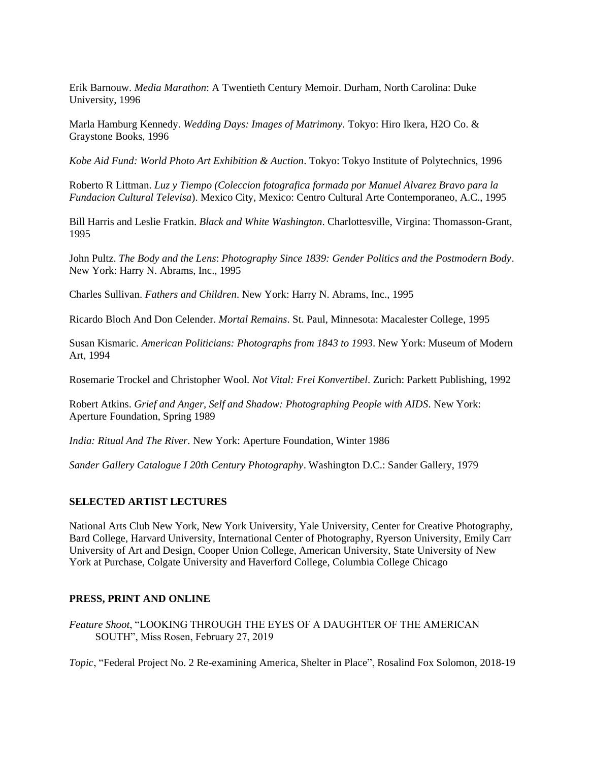Erik Barnouw. *Media Marathon*: A Twentieth Century Memoir. Durham, North Carolina: Duke University, 1996

Marla Hamburg Kennedy. *Wedding Days: Images of Matrimony.* Tokyo: Hiro Ikera, H2O Co. & Graystone Books, 1996

*Kobe Aid Fund: World Photo Art Exhibition & Auction*. Tokyo: Tokyo Institute of Polytechnics, 1996

Roberto R Littman. *Luz y Tiempo (Coleccion fotografica formada por Manuel Alvarez Bravo para la Fundacion Cultural Televisa*). Mexico City, Mexico: Centro Cultural Arte Contemporaneo, A.C., 1995

Bill Harris and Leslie Fratkin. *Black and White Washington*. Charlottesville, Virgina: Thomasson-Grant, 1995

John Pultz. *The Body and the Lens*: *Photography Since 1839: Gender Politics and the Postmodern Body*. New York: Harry N. Abrams, Inc., 1995

Charles Sullivan. *Fathers and Children*. New York: Harry N. Abrams, Inc., 1995

Ricardo Bloch And Don Celender. *Mortal Remains*. St. Paul, Minnesota: Macalester College, 1995

Susan Kismaric. *American Politicians: Photographs from 1843 to 1993*. New York: Museum of Modern Art, 1994

Rosemarie Trockel and Christopher Wool. *Not Vital: Frei Konvertibel*. Zurich: Parkett Publishing, 1992

Robert Atkins. *Grief and Anger, Self and Shadow: Photographing People with AIDS*. New York: Aperture Foundation, Spring 1989

*India: Ritual And The River*. New York: Aperture Foundation, Winter 1986

*Sander Gallery Catalogue I 20th Century Photography*. Washington D.C.: Sander Gallery, 1979

#### **SELECTED ARTIST LECTURES**

National Arts Club New York, New York University, Yale University, Center for Creative Photography, Bard College, Harvard University, International Center of Photography, Ryerson University, Emily Carr University of Art and Design, Cooper Union College, American University, State University of New York at Purchase, Colgate University and Haverford College, Columbia College Chicago

#### **PRESS, PRINT AND ONLINE**

*Feature Shoot*[, "LOOKING THROUGH THE EYES OF A DAUGHTER OF THE AMERICAN](https://www.featureshoot.com/2019/02/looking-through-the-eyes-of-a-daughter-of-the-american-south/?fbclid=IwAR1xm7uurOkywrgDg4uwotfc7BTrBb0Imaj09UIZUbttOLfB-v_6yga3oIg)  [SOUTH", Miss Rosen, February 27, 2019](https://www.featureshoot.com/2019/02/looking-through-the-eyes-of-a-daughter-of-the-american-south/?fbclid=IwAR1xm7uurOkywrgDg4uwotfc7BTrBb0Imaj09UIZUbttOLfB-v_6yga3oIg)

*Topic*, ["Federal Project No. 2 Re-examining America, Shelter in Place"](https://www.topic.com/fp2/shelter-in-place), Rosalind Fox Solomon, 2018-19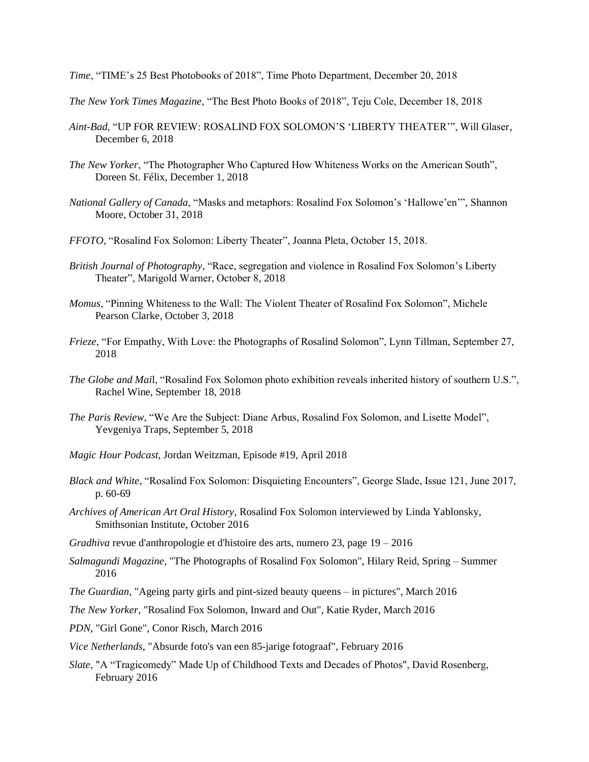*Time*[, "TIME's 25 Best Photobooks of 2018", Time Photo Department, December 20, 2018](http://time.com/longform/best-photobooks-2018/)

*The New York Times Magazine*[, "The Best Photo Books of 2018", Teju Cole, December 18, 2018](https://www.nytimes.com/2018/12/18/magazine/best-photo-books-2018.html)

- *Aint-Bad*[, "UP FOR REVIEW: ROSALIND FOX SOLOMON'S 'LIBERTY THEATER'", Will Glaser,](https://www.aint-bad.com/article/2018/12/06/up-for-review-roselind-fox-solomons-liberty-theater/)  [December 6, 2018](https://www.aint-bad.com/article/2018/12/06/up-for-review-roselind-fox-solomons-liberty-theater/)
- *The New Yorker*[, "The Photographer Who Captured How Whiteness Works on the American South",](https://www.newyorker.com/culture/photo-booth/rosalind-fox-solomons-color-line)  [Doreen St. Félix, December 1, 2018](https://www.newyorker.com/culture/photo-booth/rosalind-fox-solomons-color-line)
- *[National Gallery of Canada](https://www.gallery.ca/magazine/your-collection/at-the-ngc/masks-and-metaphors-rosalind-fox-solomons-halloween)*, "Masks and metaphors: Rosalind Fox Solomon's 'Hallowe'en'", Shannon Moore, October 31, 2018
- *FFOTO*[, "Rosalind Fox Solomon: Liberty Theater", Joanna Pleta, October 15, 2018.](https://ffoto.com/blogs/news/rosalind-fox-solomon-liberty-theater)
- *[British Journal of Photography](http://www.bjp-online.com/2018/10/rosalind-fox-solomon-liberty-theater/)*, "Race, segregation and violence in Rosalind Fox Solomon's Liberty Theater", Marigold Warner, October 8, 2018
- *Momus*[, "Pinning Whiteness to the Wall: The Violent Theater of Rosalind Fox Solomon", Michele](http://momus.ca/pinning-whiteness-to-the-wall-the-violent-theater-of-rosalind-fox-solomon/)  [Pearson Clarke, October 3, 2018](http://momus.ca/pinning-whiteness-to-the-wall-the-violent-theater-of-rosalind-fox-solomon/)
- *[Frieze](https://frieze.com/article/empathy-love-photographs-rosalind-solomon)*, "For Empathy, With Love: the Photographs of Rosalind Solomon", Lynn Tillman, September 27, 2018
- *The Globe and Mai*[l, "Rosalind Fox Solomon photo exhibition reveals inherited history of southern U.S.",](https://www.theglobeandmail.com/arts/art-and-architecture/article-rosalind-fox-solomon-photo-exhibition-reveals-inherited-history-of/)  [Rachel Wine, September 18, 2018](https://www.theglobeandmail.com/arts/art-and-architecture/article-rosalind-fox-solomon-photo-exhibition-reveals-inherited-history-of/)
- *The Paris Review*[, "We Are the Subject: Diane Arbus, Rosalind Fox Solomon, and Lisette Model",](https://www.theparisreview.org/blog/2018/09/05/we-are-the-subject-diane-arbus-rosalind-fox-solomon-and-lisette-model/)  [Yevgeniya Traps, September 5, 2018](https://www.theparisreview.org/blog/2018/09/05/we-are-the-subject-diane-arbus-rosalind-fox-solomon-and-lisette-model/)
- *[Magic Hour Podcast](http://www.magichourpodcast.org/episodes/2018/4/17/episode-18-rosalind-fox-solomon)*, Jordan Weitzman, Episode #19, April 2018
- *Black and White*, "Rosalind Fox Solomon: Disquieting Encounters", George Slade, Issue 121, June 2017, p. 60-69
- *[Archives of American Art Oral History](https://www.aaa.si.edu/collections/interviews/oral-history-interview-rosalind-fox-solomon-17403)*, Rosalind Fox Solomon interviewed by Linda Yablonsky, Smithsonian Institute, October 2016
- *[Gradhiva](https://www.skidmore.edu/salmagundi/)* revue d'anthropologie et d'histoire des arts, numero 23, page 19 2016
- *[Salmagundi Magazine](https://salmagundi.skidmore.edu/articles/83-the-photographs-of-rosalind-fox-solomon)*, "The Photographs of Rosalind Fox Solomon", Hilary Reid, Spring Summer 2016
- *[The Guardian](https://www.theguardian.com/artanddesign/gallery/2016/mar/08/guys-and-dolls-rosalind-fox-solomon-photographs-in-pictures?CMP=share_btn_fb)*, "Ageing party girls and pint-sized beauty queens in pictures", March 2016
- *[The New Yorker](http://www.newyorker.com/culture/photo-booth/rosalind-fox-solomon-inward-and-out)*, "Rosalind Fox Solomon, Inward and Out", Katie Ryder, March 2016
- *[PDN](http://potd.pdnonline.com/2016/02/36686/)*, "Girl Gone", Conor Risch, March 2016
- *[Vice Netherlands](http://www.vice.com/nl/read/rosalind-fox-solomon)*, "Absurde foto's van een 85-jarige fotograaf", February 2016
- *[Slate](http://www.slate.com/blogs/behold/2016/02/26/rosalind_fox_solomon_s_photos_from_got_to_go.html)*, "A "Tragicomedy" Made Up of Childhood Texts and Decades of Photos", David Rosenberg, February 2016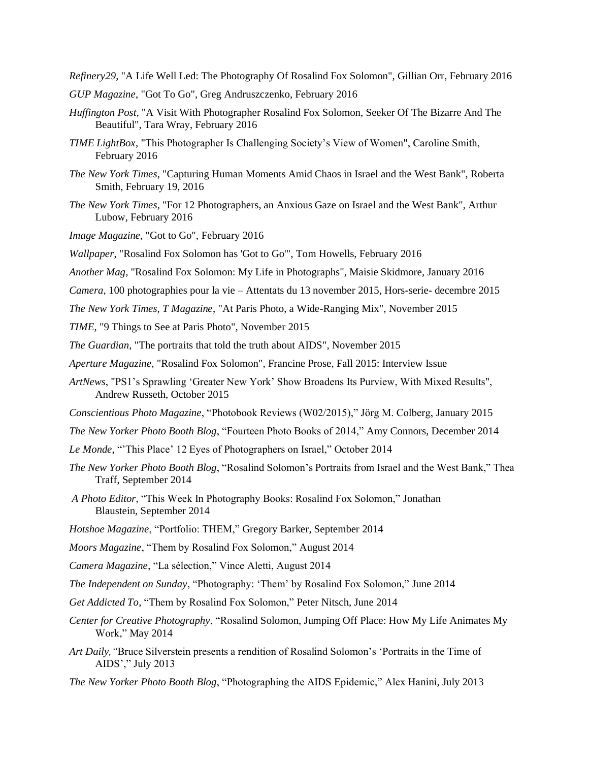*[Refinery29](http://www.refinery29.uk/2016/02/102829/rosalind-fox-solomon-got-to-go)*, "A Life Well Led: The Photography Of Rosalind Fox Solomon", Gillian Orr, February 2016

- *[GUP Magazine](http://www.gupmagazine.com/books/rosalind-fox-solomon/got-to-go)*, "Got To Go", Greg Andruszczenko, February 2016
- *[Huffington Post](http://www.huffingtonpost.com/tara-wray/post_11112_b_9294660.html)*, "A Visit With Photographer Rosalind Fox Solomon, Seeker Of The Bizarre And The Beautiful", Tara Wray, February 2016
- *[TIME LightBox,](http://time.com/4233054/this-photographer-is-challenging-societys-view-of-women/)* "This Photographer Is Challenging Society's View of Women", Caroline Smith, February 2016
- *[The New York Times](http://www.nytimes.com/2016/02/19/arts/design/capturing-human-moments-amid-chaos-in-israel-and-the-west-bank.html?_r=0)*, "Capturing Human Moments Amid Chaos in Israel and the West Bank", Roberta Smith, February 19, 2016
- *[The New York Times](http://www.nytimes.com/2016/02/14/arts/design/for-12-photographers-an-anxious-gaze-on-israel-and-the-west-bank.html)*, "For 12 Photographers, an Anxious Gaze on Israel and the West Bank", Arthur Lubow, February 2016
- *[Image Magazine](https://issuu.com/aopuk/docs/image_008_issuu_copy)*, "Got to Go", February 2016
- *[Wallpaper](http://www.wallpaper.com/gallery/art/inspiring-photography-from-the-wallpaper-picture-desk-2016#149145)*, "Rosalind Fox Solomon has 'Got to Go'", Tom Howells, February 2016
- *[Another Mag](http://www.anothermag.com/art-photography/8196/rosalind-fox-solomon-my-life-in-photographs)*, "Rosalind Fox Solomon: My Life in Photographs", Maisie Skidmore, January 2016
- *Camera*, 100 photographies pour la vie Attentats du 13 november 2015, Hors-serie- decembre 2015
- *[The New York Times, T Magazine](http://www.nytimes.com/2015/11/12/t-magazine/paris-photo-fair-grand-palais.html?_r=0)*, "At Paris Photo, a Wide-Ranging Mix", November 2015
- *[TIME](http://time.com/.../9-things-to-see-at-paris-photo-2015/)*, "9 Things to See at Paris Photo", November 2015
- *[The Guardian](http://www.theguardian.com/artanddesign/gallery/2015/nov/10/the-portraits-that-told-the-truth-about-aids-in-pictures)*, "The portraits that told the truth about AIDS", November 2015
- *[Aperture Magazine](http://www.rosalindfoxsolomon.com/s/Aperture_interview.pdf)*, "Rosalind Fox Solomon", Francine Prose, Fall 2015: Interview Issue
- *[ArtNews](http://www.artnews.com/2015/10/09/ps1s-greater-new-york-show-broadens-its-purview-with-mixed-results/)*, "PS1's Sprawling 'Greater New York' Show Broadens Its Purview, With Mixed Results", Andrew Russeth, October 2015
- *[Conscientious Photo Magazine](http://cphmag.com/reviews-w012015/)*, "Photobook Reviews (W02/2015)," Jörg M. Colberg, January 2015
- *[The New Yorker Photo Booth Blog](http://www.newyorker.com/culture/photo-booth/fourteen-photography-books-2014)*, "Fourteen Photo Books of 2014," Amy Connors, December 2014
- *[Le Monde](http://www.lemonde.fr/proche-orient/visuel/2014/10/23/this-place-12-regards-de-photographes-sur-israel_4508921_3218.html)*, "'This Place' 12 Eyes of Photographers on Israel," October 2014
- *[The New Yorker Photo Booth Blog](http://www.newyorker.com/culture/photo-booth/rosalind-solomons-portraits-israel-gaza)*, "Rosalind Solomon's Portraits from Israel and the West Bank," Thea Traff, September 2014
- *[A Photo Editor](http://www.aphotoeditor.com/2014/09/19/this-week-in-photography-books-rosalind-fox-solomon/)*, "This Week In Photography Books: Rosalind Fox Solomon," Jonathan Blaustein, September 2014
- *[Hotshoe Magazine](http://www.mackbooks.co.uk/ftpShare/THEM-RFS-HOTSHOE-Sept2014%20copy.pdf)*, "Portfolio: THEM," Gregory Barker, September 2014
- *[Moors Magazine](http://www.moorsmagazine.com/fotografie/solomonthem.html)*, "Them by Rosalind Fox Solomon," August 2014
- *[Camera Magazine](http://www.mackbooks.co.uk/ftpShare/CAMERA%20N7_Solomon.pdf)*, "La sélection," Vince Aletti, August 2014
- *[The Independent on Sunday](http://www.mackbooks.co.uk/ftpShare/INDIE.SUNDAY.THEM.JUNE2014.pdf)*, "Photography: 'Them' by Rosalind Fox Solomon," June 2014
- *[Get Addicted To](http://www.getaddictedto.com/them-by-rosalind-fox-solomon/#sthash.iRW8k27x.htyJ7qd2.dpbs)*, "Them by Rosalind Fox Solomon," Peter Nitsch, June 2014
- *[Center for Creative Photography](http://www.creativephotography.org/exhibitions-events/events/rosalind-solomon-how-my-life-animates-my-work)*, "Rosalind Solomon, Jumping Off Place: How My Life Animates My Work," May 2014
- *[Art Daily,](http://www.artdaily.org/index.asp?int_sec=11&int_new=64042#.UfbLt2CmXyJ)"*Bruce Silverstein presents a rendition of Rosalind Solomon's 'Portraits in the Time of AIDS'," July 2013
- *[The New Yorker Photo Booth Blog](http://www.newyorker.com/online/blogs/photobooth/2013/07/slide-show-rosalind-solomons-photographs-of-the-aids-epidemic.html#slide_ss_0=1)*, "Photographing the AIDS Epidemic," Alex Hanini, July 2013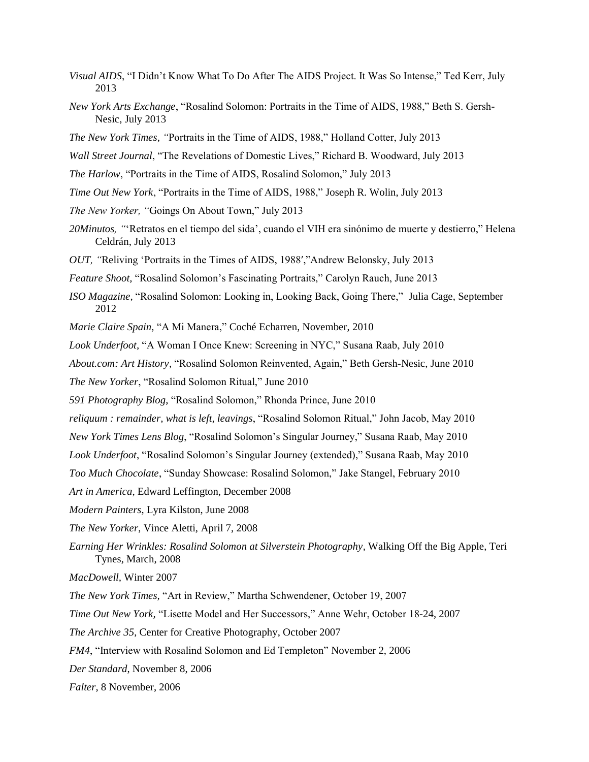- *[Visual AIDS](http://www.visualaids.org/blog/detail/i-didnt-know-what-to-do-after-the-aids-project.-it-was-so-intense#.UfbL72CmXyI)*, "I Didn't Know What To Do After The AIDS Project. It Was So Intense," Ted Kerr, July 2013
- *[New York Arts Exchange](http://newyorkarts-exchange.blogspot.com/2013/07/rosalind-solomon-portraits-in-time-of.html)*, "Rosalind Solomon: Portraits in the Time of AIDS, 1988," Beth S. Gersh-Nesic, July 2013
- *[The New York Times](http://www.nytimes.com/2013/07/19/arts/design/rosalind-solomon-portraits-in-the-time-of-aids-1988.html)*, *"*Portraits in the Time of AIDS, 1988," Holland Cotter, July 2013
- *[Wall Street Journal](http://on.wsj.com/13GbEW8)*, "The Revelations of Domestic Lives," Richard B. Woodward, July 2013
- *[The Harlow](http://theharlow.net/rosalindsolomon/)*, "Portraits in the Time of AIDS, Rosalind Solomon," July 2013
- *[Time Out New York](http://www.timeout.com/newyork/art/rosalind-solomon-portraits-in-the-time-of-aids-1988)*, "Portraits in the Time of AIDS, 1988," Joseph R. Wolin, July 2013
- *The New Yorker, "*Goings On About Town," July 2013
- *[20Minutos,](http://www.20minutos.es/noticia/1861645/0/retratos-sida/rosalind-solomon/fotografia/) "*'Retratos en el tiempo del sida', cuando el VIH era sinónimo de muerte y destierro," Helena Celdrán, July 2013
- *[OUT,](http://www.out.com/entertainment/popnography/2013/07/02/reliving-portraits-times-aids-1988) "*Reliving 'Portraits in the Times of AIDS, 1988′,"Andrew Belonsky, July 2013
- *[Feature Shoot,](http://www.featureshoot.com/2013/06/rosalind-solomons-fascinating-portraits/)* "Rosalind Solomon's Fascinating Portraits," Carolyn Rauch, June 2013
- *[ISO Magazine,](http://issuu.com/isozine/docs/fall2012)* "Rosalind Solomon: Looking in, Looking Back, Going There," Julia Cage, September 2012
- *[Marie Claire Spain,](http://www.rosalindsolomon.com/a-mi-manera-marie-claire-spain/)* "A Mi Manera," Coché Echarren, November, 2010
- *[Look Underfoot,](http://susanaraab.wordpress.com/2010/07/19/a-woman-i-once-knew-screening-in-nyc/)* "A Woman I Once Knew: Screening in NYC," Susana Raab, July 2010
- *[About.com: Art History,](http://arthistory.about.com/od/special_exhibitions/fr/rosalind_solomon_ritual.htm)* "Rosalind Solomon Reinvented, Again," Beth Gersh-Nesic, June 2010
- *[The New Yorker](http://www.rosalindsolomon.com/about/bibliography/the-new-yorker/)*, "Rosalind Solomon Ritual," June 2010
- *[591 Photography Blog](http://www.591photography.com/2010/06/rosalind-solomon.html)*, "Rosalind Solomon," Rhonda Prince, June 2010
- *reliquum : remainder, what is left, leavings*, "Rosalind Solomon Ritual," John Jacob, May 2010
- *[New York Times Lens Blog](http://lens.blogs.nytimes.com/2010/05/13/showcase-160/)*, "Rosalind Solomon's Singular Journey," Susana Raab, May 2010
- *[Look Underfoot](http://susanaraab.wordpress.com/2010/05/13/rosalind-solomon-on-the-ny-times-lens-blog/)*, "Rosalind Solomon's Singular Journey (extended)," Susana Raab, May 2010
- *Too Much Chocolate*, "Sunday Showcase: Rosalind Solomon," Jake Stangel, February 2010
- *[Art in America](http://www.rosalindsolomon.com/about/bibliography/art-in-america/)*, Edward Leffington, December 2008
- *[Modern Painters](http://www.rosalindsolomon.com/about/bibliography/modern-painters/)*, Lyra Kilston, June 2008
- *[The New Yorker](http://www.rosalindsolomon.com/about/bibliography/the-new-yorker-2/)*, Vince Aletti, April 7, 2008
- *[Earning Her Wrinkles: Rosalind Solomon at Silverstein Photography,](http://www.walkingoffthebigapple.com/2008/03/earning-her-wrinkles-rosalind-solomon.html)* Walking Off the Big Apple, Teri Tynes, March, 2008
- *MacDowell,* Winter 2007
- *The New York Times,* "Art in Review," Martha Schwendener, October 19, 2007
- *Time Out New York,* "Lisette Model and Her Successors," Anne Wehr, October 18-24, 2007
- *The Archive 35*, Center for Creative Photography, October 2007
- *FM4*, "Interview with Rosalind Solomon and Ed Templeton" November 2, 2006
- *Der Standard*, November 8, 2006
- *Falter*, 8 November, 2006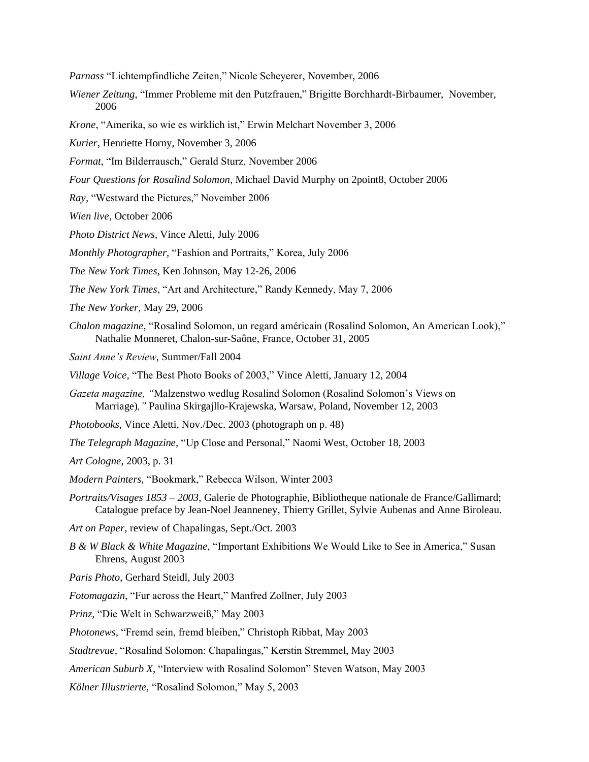*Parnass* "Lichtempfindliche Zeiten," Nicole Scheyerer, November, 2006

- *Wiener Zeitung*, "Immer Probleme mit den Putzfrauen," Brigitte Borchhardt-Birbaumer, November, 2006
- *Krone*, "Amerika, so wie es wirklich ist," Erwin Melchart November 3, 2006
- *Kurier*, Henriette Horny, November 3, 2006
- *Format*, "Im Bilderrausch," Gerald Sturz, November 2006
- *[Four Questions for Rosalind Solomon](http://2point8.whileseated.org/?p=89)*, Michael David Murphy on 2point8, October 2006
- *Ray,* "Westward the Pictures," November 2006
- *Wien live*, October 2006
- *Photo District News*, Vince Aletti, July 2006
- *Monthly Photographer,* "Fashion and Portraits," Korea, July 2006
- *The New York Times*, Ken Johnson, May 12-26, 2006
- *The New York Times*, "Art and Architecture," Randy Kennedy, May 7, 2006
- *The New Yorker*, May 29, 2006
- *Chalon magazine,* "Rosalind Solomon, un regard américain (Rosalind Solomon, An American Look)," Nathalie Monneret, Chalon-sur-Saône, France, October 31, 2005
- *Saint Anne's Review*, Summer/Fall 2004
- *Village Voice,* ["The Best Photo Books of 2003,"](http://www.villagevoice.com/2004-01-06/news/picture-this/1/) Vince Aletti, January 12, 2004
- *Gazeta magazine, "*Malzenstwo wedlug Rosalind Solomon (Rosalind Solomon's Views on Marriage)*,"* Paulina Skirgajllo-Krajewska, Warsaw, Poland, November 12, 2003
- *Photobooks*, Vince Aletti, Nov./Dec. 2003 (photograph on p. 48)
- *The Telegraph Magazine,* "Up Close and Personal," Naomi West, October 18, 2003

*Art Cologne*, 2003, p. 31

- *Modern Painters,* "Bookmark," Rebecca Wilson, Winter 2003
- *Portraits/Visages 1853 – 2003*, Galerie de Photographie, Bibliotheque nationale de France/Gallimard; Catalogue preface by Jean-Noel Jeanneney, Thierry Grillet, Sylvie Aubenas and Anne Biroleau.
- *Art on Paper*, review of Chapalingas, Sept./Oct. 2003
- *B & W Black & White Magazine,* "Important Exhibitions We Would Like to See in America," Susan Ehrens, August 2003
- *Paris Photo*, Gerhard Steidl, July 2003
- *Fotomagazin*, "Fur across the Heart," Manfred Zollner, July 2003
- *Prinz,* "Die Welt in Schwarzweiß," May 2003
- *Photonews,* "Fremd sein, fremd bleiben," Christoph Ribbat, May 2003
- *Stadtrevue,* "Rosalind Solomon: Chapalingas," Kerstin Stremmel, May 2003
- *[American Suburb X,](http://www.americansuburbx.com/2010/04/interview-interview-with-rosalind.html)* "Interview with Rosalind Solomon" Steven Watson, May 2003
- *Kölner Illustrierte,* "Rosalind Solomon," May 5, 2003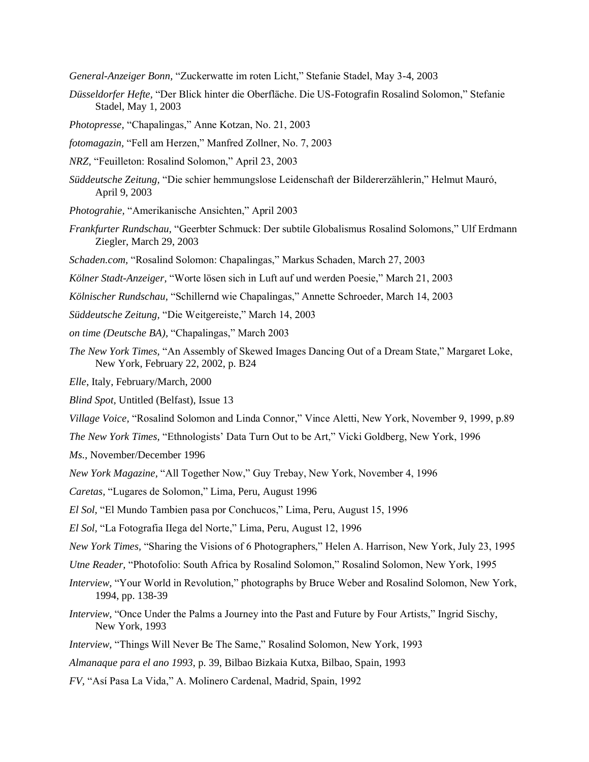*General-Anzeiger Bonn,* "Zuckerwatte im roten Licht," Stefanie Stadel, May 3-4, 2003

- *Düsseldorfer Hefte,* "Der Blick hinter die Oberfläche. Die US-Fotografin Rosalind Solomon," Stefanie Stadel, May 1, 2003
- *Photopresse,* "Chapalingas," Anne Kotzan, No. 21, 2003
- *fotomagazin,* "Fell am Herzen," Manfred Zollner, No. 7, 2003
- *NRZ,* "Feuilleton: Rosalind Solomon," April 23, 2003
- *Süddeutsche Zeitung,* "Die schier hemmungslose Leidenschaft der Bildererzählerin," Helmut Mauró, April 9, 2003
- *Photograhie,* "Amerikanische Ansichten," April 2003
- *Frankfurter Rundschau,* "Geerbter Schmuck: Der subtile Globalismus Rosalind Solomons," Ulf Erdmann Ziegler, March 29, 2003
- *Schaden.com,* "Rosalind Solomon: Chapalingas," Markus Schaden, March 27, 2003
- *Kölner Stadt-Anzeiger,* "Worte lösen sich in Luft auf und werden Poesie," March 21, 2003
- *Kölnischer Rundschau,* "Schillernd wie Chapalingas," Annette Schroeder, March 14, 2003
- *Süddeutsche Zeitung,* "Die Weitgereiste," March 14, 2003
- *on time (Deutsche BA),* "Chapalingas," March 2003
- *The New York Times,* "An Assembly of Skewed Images Dancing Out of a Dream State," Margaret Loke, New York, February 22, 2002, p. B24
- *Elle*, Italy, February/March, 2000
- *Blind Spot,* Untitled (Belfast), Issue 13
- *Village Voice,* "Rosalind Solomon and Linda Connor," Vince Aletti, New York, November 9, 1999, p.89
- *The New York Times,* "Ethnologists' Data Turn Out to be Art," Vicki Goldberg, New York, 1996
- *Ms.,* November/December 1996
- *New York Magazine,* "All Together Now," Guy Trebay, New York, November 4, 1996
- *Caretas,* ["Lugares de Solomon,"](http://www.caretas.com.pe/1427/fotos/fotos.htm) Lima, Peru, August 1996
- *El Sol,* "El Mundo Tambien pasa por Conchucos," Lima, Peru, August 15, 1996
- *El Sol,* "La Fotografia IIega del Norte," Lima, Peru, August 12, 1996
- *New York Times,* "Sharing the Visions of 6 Photographers," Helen A. Harrison, New York, July 23, 1995
- *Utne Reader,* "Photofolio: South Africa by Rosalind Solomon," Rosalind Solomon, New York, 1995
- *Interview,* "Your World in Revolution," photographs by Bruce Weber and Rosalind Solomon, New York, 1994, pp. 138-39
- *Interview,* "Once Under the Palms a Journey into the Past and Future by Four Artists," Ingrid Sischy, New York, 1993
- *Interview,* "Things Will Never Be The Same," Rosalind Solomon, New York, 1993
- *Almanaque para el ano 1993*, p. 39, Bilbao Bizkaia Kutxa, Bilbao, Spain, 1993
- *FV,* "Así Pasa La Vida," A. Molinero Cardenal, Madrid, Spain, 1992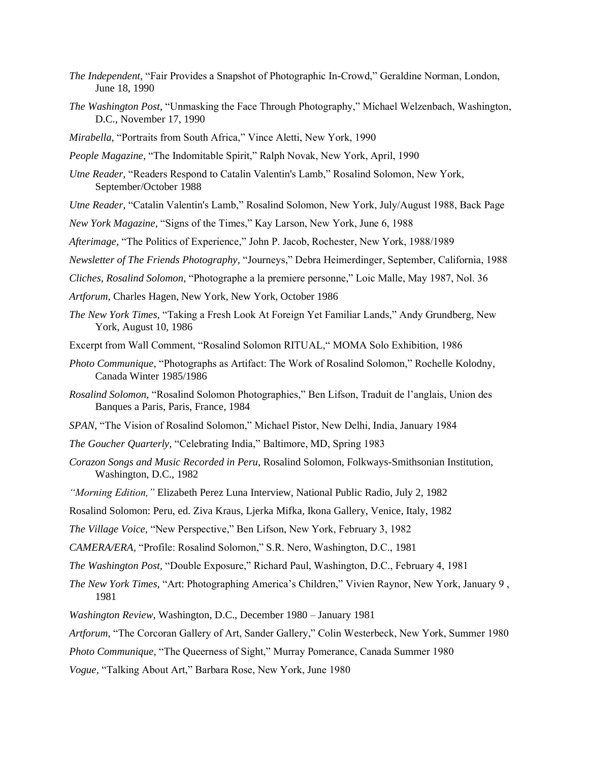- *The Independent,* "Fair Provides a Snapshot of Photographic In-Crowd," Geraldine Norman, London, June 18, 1990
- *The Washington Post,* "Unmasking the Face Through Photography," Michael Welzenbach, Washington, D.C., November 17, 1990
- *Mirabella,* "Portraits from South Africa," Vince Aletti, New York, 1990
- *People Magazine,* "The Indomitable Spirit," Ralph Novak, New York, April, 1990
- *Utne Reader,* "Readers Respond to Catalin Valentin's Lamb," Rosalind Solomon, New York, September/October 1988
- *Utne Reader,* "Catalin Valentin's Lamb," Rosalind Solomon, New York, July/August 1988, Back Page
- *New York Magazine,* "Signs of the Times," Kay Larson, New York, June 6, 1988

*Afterimage,* "The Politics of Experience," John P. Jacob, Rochester, New York, 1988/1989

*Newsletter of The Friends Photography,* "Journeys," Debra Heimerdinger, September, California, 1988

- *Cliches, Rosalind Solomon,* "Photographe a la premiere personne," Loic Malle, May 1987, Nol. 36
- *Artforum*, Charles Hagen, New York, New York, October 1986
- *The New York Times,* "Taking a Fresh Look At Foreign Yet Familiar Lands," Andy Grundberg, New York, August 10, 1986
- Excerpt from Wall Comment, "Rosalind Solomon RITUAL," MOMA Solo Exhibition, 1986
- *Photo Communique,* "Photographs as Artifact: The Work of Rosalind Solomon," Rochelle Kolodny, Canada Winter 1985/1986
- *Rosalind Solomon,* "Rosalind Solomon Photographies," Ben Lifson, Traduit de l'anglais, Union des Banques a Paris, Paris, France, 1984
- *SPAN,* "The Vision of Rosalind Solomon," Michael Pistor, New Delhi, India, January 1984
- *The Goucher Quarterly,* "Celebrating India," Baltimore, MD, Spring 1983
- *Corazon Songs and Music Recorded in Peru*, Rosalind Solomon, Folkways-Smithsonian Institution, Washington, D.C., 1982
- *"Morning Edition,"* Elizabeth Perez Luna Interview, National Public Radio, July 2, 1982
- Rosalind Solomon: Peru, ed. Ziva Kraus, Ljerka Mifka, Ikona Gallery, Venice, Italy, 1982
- *The Village Voice,* "New Perspective," Ben Lifson, New York, February 3, 1982
- *CAMERA/ERA,* "Profile: Rosalind Solomon," S.R. Nero, Washington, D.C., 1981
- *The Washington Post,* "Double Exposure," Richard Paul, Washington, D.C., February 4, 1981
- *The New York Times,* "Art: Photographing America's Children," Vivien Raynor, New York, January 9 , 1981
- *Washington Review,* Washington, D.C., December 1980 January 1981
- *Artforum,* "The Corcoran Gallery of Art, Sander Gallery," Colin Westerbeck, New York, Summer 1980
- *Photo Communique,* "The Queerness of Sight," Murray Pomerance, Canada Summer 1980
- *Vogue,* "Talking About Art," Barbara Rose, New York, June 1980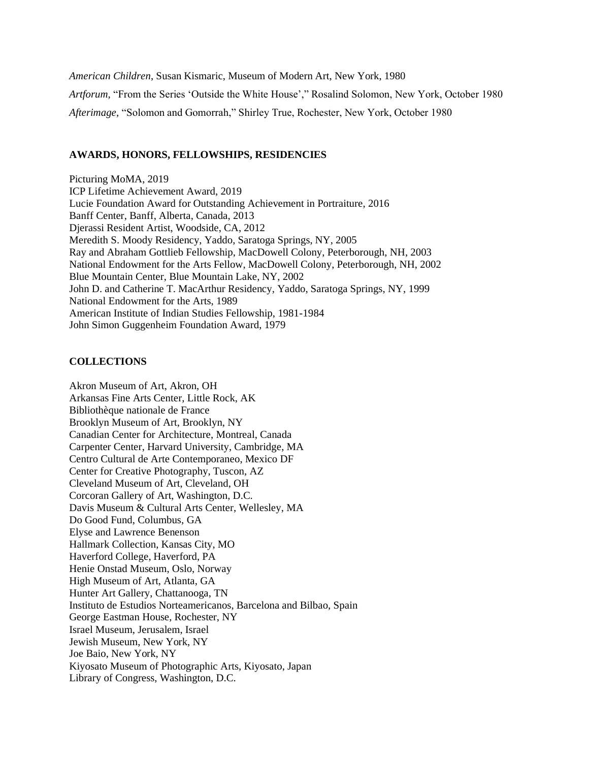*American Children*, Susan Kismaric, Museum of Modern Art, New York, 1980 *Artforum,* "From the Series 'Outside the White House'," Rosalind Solomon, New York, October 1980 *Afterimage,* "Solomon and Gomorrah," Shirley True, Rochester, New York, October 1980

### **AWARDS, HONORS, FELLOWSHIPS, RESIDENCIES**

Picturing MoMA, 2019 ICP Lifetime Achievement Award, 2019 Lucie Foundation Award for Outstanding Achievement in Portraiture, 2016 Banff Center, Banff, Alberta, Canada, 2013 Djerassi Resident Artist, Woodside, CA, 2012 Meredith S. Moody Residency, Yaddo, Saratoga Springs, NY, 2005 Ray and Abraham Gottlieb Fellowship, MacDowell Colony, Peterborough, NH, 2003 National Endowment for the Arts Fellow, MacDowell Colony, Peterborough, NH, 2002 Blue Mountain Center, Blue Mountain Lake, NY, 2002 John D. and Catherine T. MacArthur Residency, Yaddo, Saratoga Springs, NY, 1999 National Endowment for the Arts, 1989 American Institute of Indian Studies Fellowship, 1981-1984 John Simon Guggenheim Foundation Award, 1979

### **COLLECTIONS**

Akron Museum of Art, Akron, OH Arkansas Fine Arts Center, Little Rock, AK Bibliothèque nationale de France Brooklyn Museum of Art, Brooklyn, NY Canadian Center for Architecture, Montreal, Canada Carpenter Center, Harvard University, Cambridge, MA Centro Cultural de Arte Contemporaneo, Mexico DF Center for Creative Photography, Tuscon, AZ Cleveland Museum of Art, Cleveland, OH Corcoran Gallery of Art, Washington, D.C. Davis Museum & Cultural Arts Center, Wellesley, MA Do Good Fund, Columbus, GA Elyse and Lawrence Benenson Hallmark Collection, Kansas City, MO Haverford College, Haverford, PA Henie Onstad Museum, Oslo, Norway High Museum of Art, Atlanta, GA Hunter Art Gallery, Chattanooga, TN Instituto de Estudios Norteamericanos, Barcelona and Bilbao, Spain George Eastman House, Rochester, NY Israel Museum, Jerusalem, Israel Jewish Museum, New York, NY Joe Baio, New York, NY Kiyosato Museum of Photographic Arts, Kiyosato, Japan Library of Congress, Washington, D.C.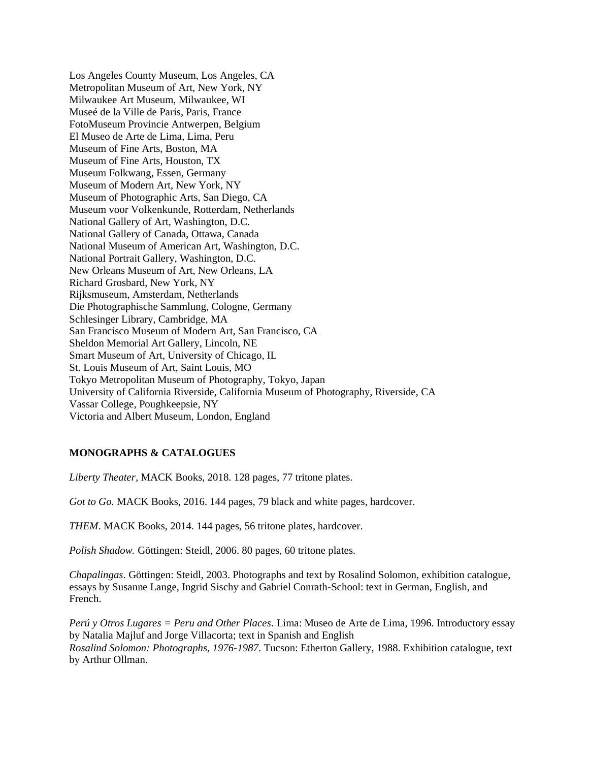Los Angeles County Museum, Los Angeles, CA Metropolitan Museum of Art, New York, NY Milwaukee Art Museum, Milwaukee, WI Museé de la Ville de Paris, Paris, France FotoMuseum Provincie Antwerpen, Belgium El Museo de Arte de Lima, Lima, Peru Museum of Fine Arts, Boston, MA Museum of Fine Arts, Houston, TX Museum Folkwang, Essen, Germany Museum of Modern Art, New York, NY Museum of Photographic Arts, San Diego, CA Museum voor Volkenkunde, Rotterdam, Netherlands National Gallery of Art, Washington, D.C. National Gallery of Canada, Ottawa, Canada National Museum of American Art, Washington, D.C. National Portrait Gallery, Washington, D.C. New Orleans Museum of Art, New Orleans, LA Richard Grosbard, New York, NY Rijksmuseum, Amsterdam, Netherlands Die Photographische Sammlung, Cologne, Germany Schlesinger Library, Cambridge, MA San Francisco Museum of Modern Art, San Francisco, CA Sheldon Memorial Art Gallery, Lincoln, NE Smart Museum of Art, University of Chicago, IL St. Louis Museum of Art, Saint Louis, MO Tokyo Metropolitan Museum of Photography, Tokyo, Japan University of California Riverside, California Museum of Photography, Riverside, CA Vassar College, Poughkeepsie, NY Victoria and Albert Museum, London, England

# **MONOGRAPHS & CATALOGUES**

*Liberty Theater,* MACK Books, 2018. 128 pages, 77 tritone plates.

*Got to Go.* MACK Books, 2016. 144 pages, 79 black and white pages, hardcover.

*THEM*. MACK Books, 2014. 144 pages, 56 tritone plates, hardcover.

*Polish Shadow.* Göttingen: Steidl, 2006. 80 pages, 60 tritone plates.

*Chapalingas*. Göttingen: Steidl, 2003. Photographs and text by Rosalind Solomon, exhibition catalogue, essays by Susanne Lange, Ingrid Sischy and Gabriel Conrath-School: text in German, English, and French.

*Perú y Otros Lugares = Peru and Other Places*. Lima: Museo de Arte de Lima, 1996. Introductory essay by Natalia Majluf and Jorge Villacorta; text in Spanish and English *Rosalind Solomon: Photographs, 1976-1987*. Tucson: Etherton Gallery, 1988. Exhibition catalogue, text by Arthur Ollman.